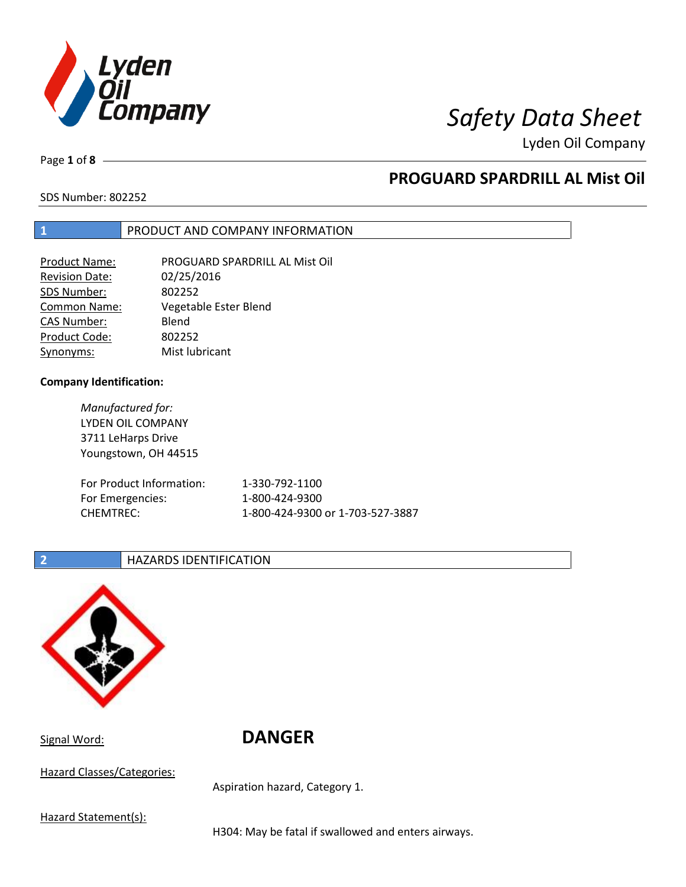

Page **1** of **8**

# **PROGUARD SPARDRILL AL Mist Oil**

SDS Number: 802252

### **1** PRODUCT AND COMPANY INFORMATION

| <b>Product Name:</b>  | PROGUARD SPARDRILL AL Mist Oil |
|-----------------------|--------------------------------|
| <b>Revision Date:</b> | 02/25/2016                     |
| SDS Number:           | 802252                         |
| <b>Common Name:</b>   | Vegetable Ester Blend          |
| <b>CAS Number:</b>    | Blend                          |
| Product Code:         | 802252                         |
| Synonyms:             | Mist lubricant                 |

#### **Company Identification:**

*Manufactured for:* LYDEN OIL COMPANY 3711 LeHarps Drive Youngstown, OH 44515 For Product Information: 1-330-792-1100 For Emergencies: 1-800-424-9300 CHEMTREC: 1-800-424-9300 or 1-703-527-3887

### **2 HAZARDS IDENTIFICATION**



Signal Word: **DANGER**

Hazard Classes/Categories:

Aspiration hazard, Category 1.

Hazard Statement(s):

H304: May be fatal if swallowed and enters airways.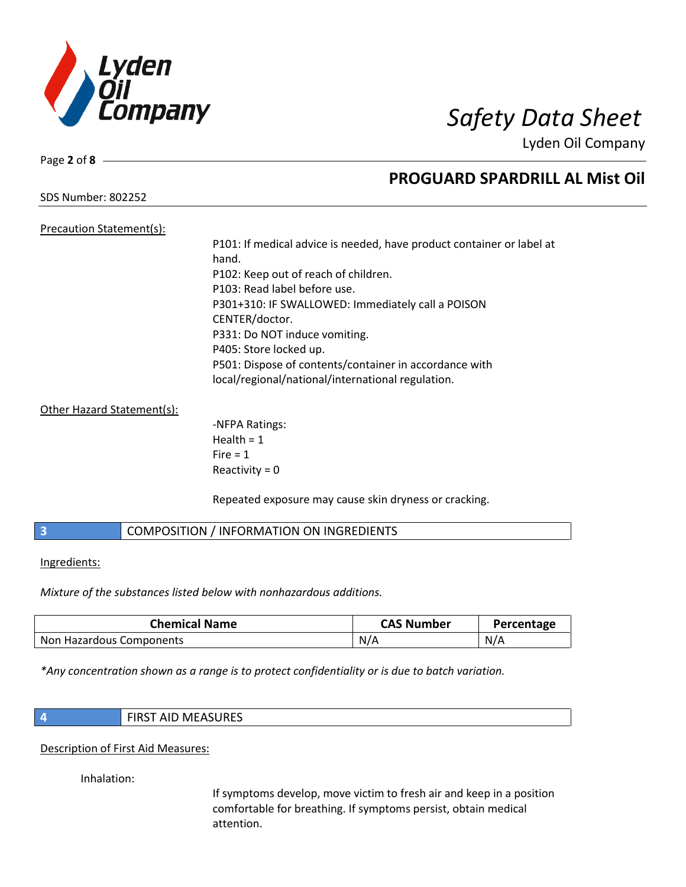

Page **2** of **8**

# **PROGUARD SPARDRILL AL Mist Oil**

SDS Number: 802252

### Precaution Statement(s): P101: If medical advice is needed, have product container or label at hand. P102: Keep out of reach of children. P103: Read label before use. P301+310: IF SWALLOWED: Immediately call a POISON CENTER/doctor. P331: Do NOT induce vomiting. P405: Store locked up. P501: Dispose of contents/container in accordance with local/regional/national/international regulation.

### Other Hazard Statement(s):

-NFPA Ratings: Health  $= 1$  $Fire = 1$ Reactivity  $= 0$ 

Repeated exposure may cause skin dryness or cracking.

### **3** COMPOSITION / INFORMATION ON INGREDIENTS

#### Ingredients:

*Mixture of the substances listed below with nonhazardous additions.*

| <b>Chemical Name</b>     | <b>CAS Number</b> | Percentage |
|--------------------------|-------------------|------------|
| Non Hazardous Components | N/A               | N/A        |

*\*Any concentration shown as a range is to protect confidentiality or is due to batch variation.*

| <b>FIRST AID MEASURES</b> |
|---------------------------|
|                           |

#### Description of First Aid Measures:

Inhalation:

If symptoms develop, move victim to fresh air and keep in a position comfortable for breathing. If symptoms persist, obtain medical attention.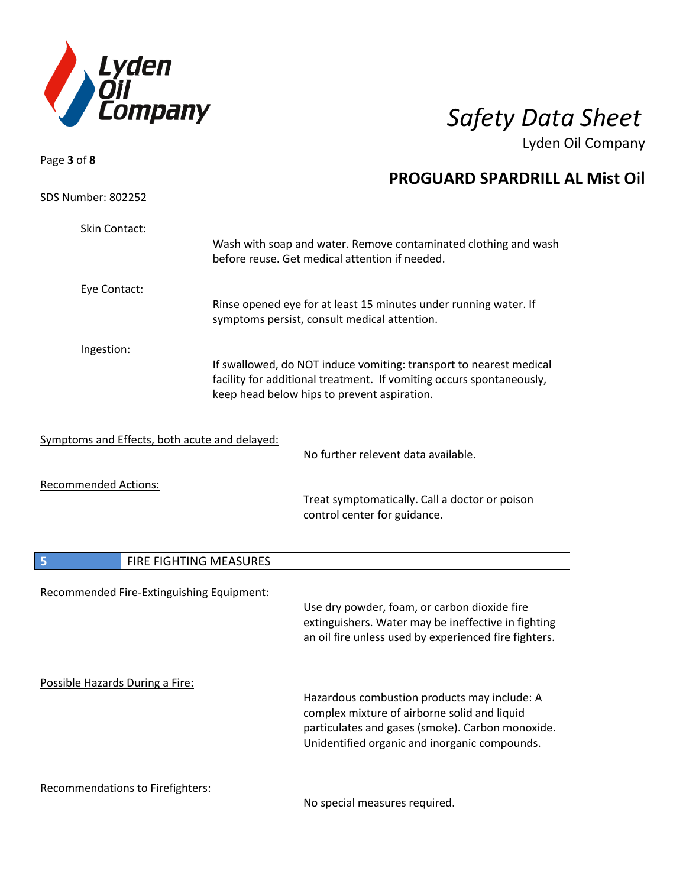

| Page 3 of 8 -                                 |                        |                                                                                                                                                                                                   |  |
|-----------------------------------------------|------------------------|---------------------------------------------------------------------------------------------------------------------------------------------------------------------------------------------------|--|
|                                               |                        | <b>PROGUARD SPARDRILL AL Mist Oil</b>                                                                                                                                                             |  |
| <b>SDS Number: 802252</b>                     |                        |                                                                                                                                                                                                   |  |
| Skin Contact:                                 |                        | Wash with soap and water. Remove contaminated clothing and wash<br>before reuse. Get medical attention if needed.                                                                                 |  |
| Eye Contact:                                  |                        | Rinse opened eye for at least 15 minutes under running water. If<br>symptoms persist, consult medical attention.                                                                                  |  |
| Ingestion:                                    |                        | If swallowed, do NOT induce vomiting: transport to nearest medical<br>facility for additional treatment. If vomiting occurs spontaneously,<br>keep head below hips to prevent aspiration.         |  |
| Symptoms and Effects, both acute and delayed: |                        | No further relevent data available.                                                                                                                                                               |  |
| <b>Recommended Actions:</b>                   |                        | Treat symptomatically. Call a doctor or poison<br>control center for guidance.                                                                                                                    |  |
| 5                                             | FIRE FIGHTING MEASURES |                                                                                                                                                                                                   |  |
| Recommended Fire-Extinguishing Equipment:     |                        | Use dry powder, foam, or carbon dioxide fire<br>extinguishers. Water may be ineffective in fighting<br>an oil fire unless used by experienced fire fighters.                                      |  |
| Possible Hazards During a Fire:               |                        | Hazardous combustion products may include: A<br>complex mixture of airborne solid and liquid<br>particulates and gases (smoke). Carbon monoxide.<br>Unidentified organic and inorganic compounds. |  |
| Recommendations to Firefighters:              |                        |                                                                                                                                                                                                   |  |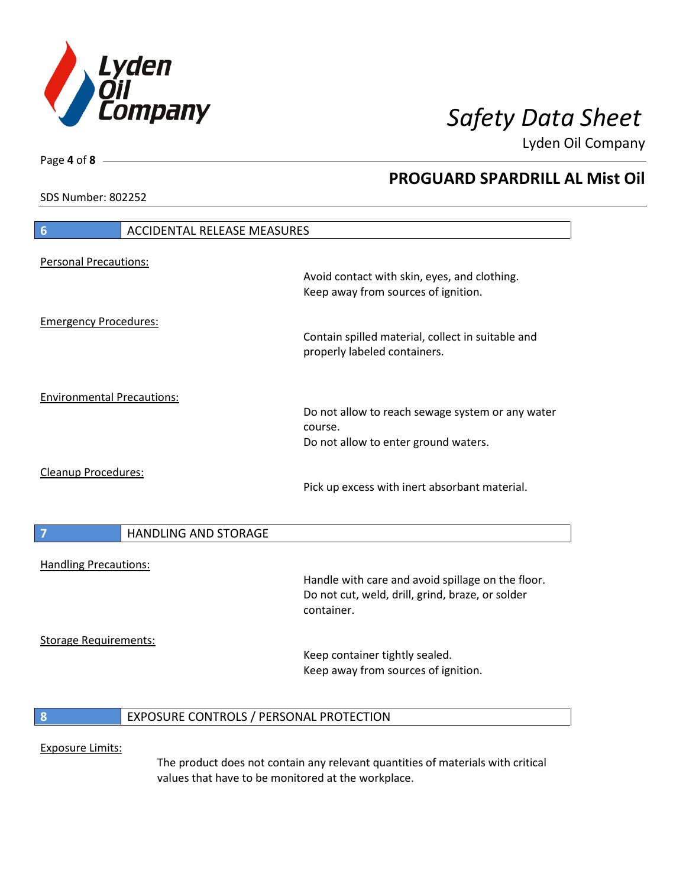

**PROGUARD SPARDRILL AL Mist Oil**

Lyden Oil Company

SDS Number: 802252

Page **4** of **8**

# **6** ACCIDENTAL RELEASE MEASURES Personal Precautions: Avoid contact with skin, eyes, and clothing. Keep away from sources of ignition. Emergency Procedures: Contain spilled material, collect in suitable and properly labeled containers. Environmental Precautions: Do not allow to reach sewage system or any water course. Do not allow to enter ground waters. Cleanup Procedures: Pick up excess with inert absorbant material. **7 HANDLING AND STORAGE** Handling Precautions: Handle with care and avoid spillage on the floor. Do not cut, weld, drill, grind, braze, or solder container. Storage Requirements: Keep container tightly sealed. Keep away from sources of ignition. **8** EXPOSURE CONTROLS / PERSONAL PROTECTION

#### Exposure Limits:

The product does not contain any relevant quantities of materials with critical values that have to be monitored at the workplace.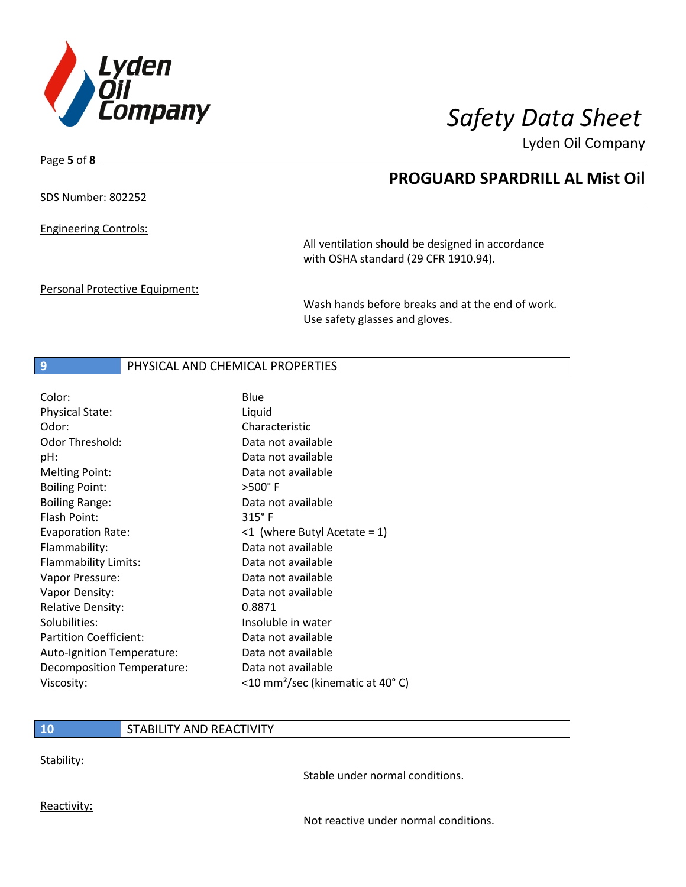

Page **5** of **8**

# **PROGUARD SPARDRILL AL Mist Oil**

### SDS Number: 802252

Engineering Controls:

All ventilation should be designed in accordance with OSHA standard (29 CFR 1910.94).

Personal Protective Equipment:

Wash hands before breaks and at the end of work. Use safety glasses and gloves.

### **9** PHYSICAL AND CHEMICAL PROPERTIES

| Color:                        | Blue                                         |
|-------------------------------|----------------------------------------------|
| <b>Physical State:</b>        | Liquid                                       |
| Odor:                         | Characteristic                               |
| <b>Odor Threshold:</b>        | Data not available                           |
| pH:                           | Data not available                           |
| <b>Melting Point:</b>         | Data not available                           |
| <b>Boiling Point:</b>         | $>500^\circ$ F                               |
| <b>Boiling Range:</b>         | Data not available                           |
| Flash Point:                  | $315^\circ$ F                                |
| <b>Evaporation Rate:</b>      | $\leq 1$ (where Butyl Acetate = 1)           |
| Flammability:                 | Data not available                           |
| Flammability Limits:          | Data not available                           |
| Vapor Pressure:               | Data not available                           |
| Vapor Density:                | Data not available                           |
| <b>Relative Density:</b>      | 0.8871                                       |
| Solubilities:                 | Insoluble in water                           |
| <b>Partition Coefficient:</b> | Data not available                           |
| Auto-Ignition Temperature:    | Data not available                           |
| Decomposition Temperature:    | Data not available                           |
| Viscosity:                    | <10 mm <sup>2</sup> /sec (kinematic at 40°C) |

### **10** STABILITY AND REACTIVITY

Stability:

Stable under normal conditions.

Reactivity:

Not reactive under normal conditions.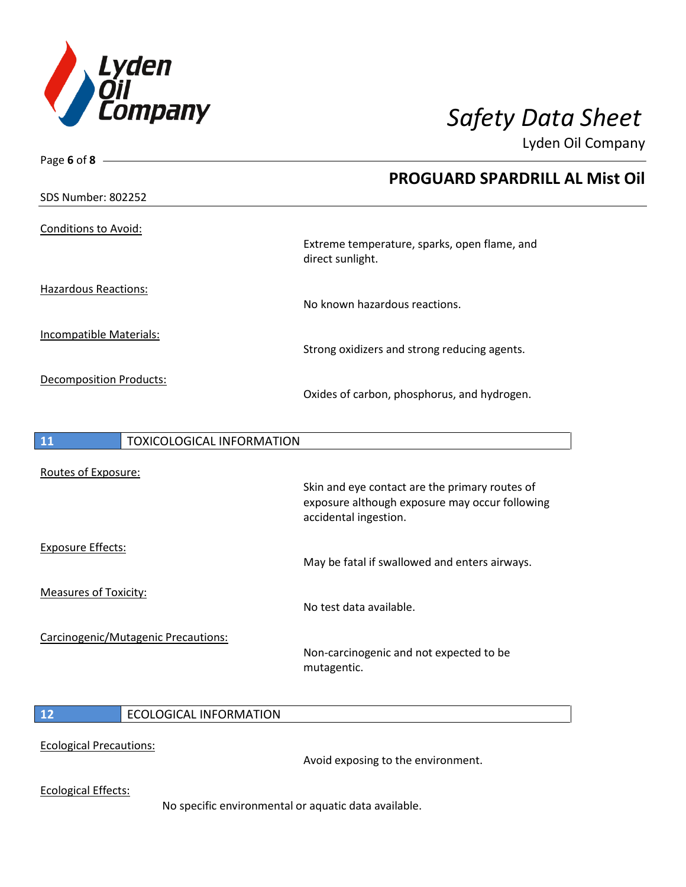

Page **6** of **8**

Lyden Oil Company

|                                        | <b>PROGUARD SPARDRILL AL Mist Oil</b>                                   |
|----------------------------------------|-------------------------------------------------------------------------|
| <b>SDS Number: 802252</b>              |                                                                         |
| <b>Conditions to Avoid:</b>            | Extreme temperature, sparks, open flame, and                            |
|                                        | direct sunlight.                                                        |
| <b>Hazardous Reactions:</b>            |                                                                         |
|                                        | No known hazardous reactions.                                           |
| <b>Incompatible Materials:</b>         |                                                                         |
|                                        | Strong oxidizers and strong reducing agents.                            |
| <b>Decomposition Products:</b>         |                                                                         |
|                                        | Oxides of carbon, phosphorus, and hydrogen.                             |
|                                        |                                                                         |
| 11<br><b>TOXICOLOGICAL INFORMATION</b> |                                                                         |
| Routes of Exposure:                    |                                                                         |
|                                        | Skin and eye contact are the primary routes of                          |
|                                        | exposure although exposure may occur following<br>accidental ingestion. |

Exposure Effects:

Measures of Toxicity:

No test data available.

Carcinogenic/Mutagenic Precautions:

Non-carcinogenic and not expected to be mutagentic.

May be fatal if swallowed and enters airways.

### **12** ECOLOGICAL INFORMATION

#### Ecological Precautions:

Avoid exposing to the environment.

Ecological Effects:

No specific environmental or aquatic data available.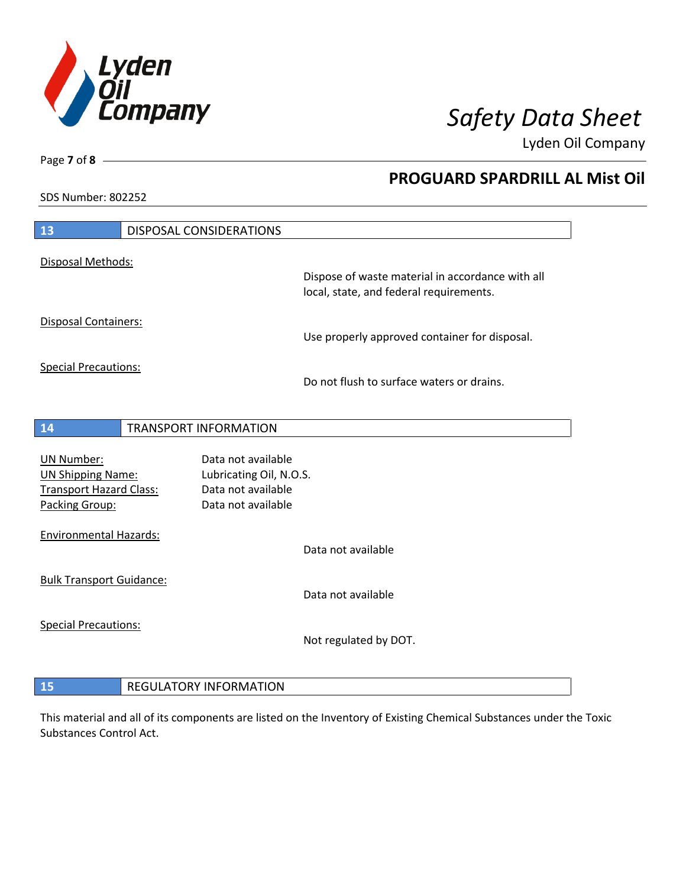

**PROGUARD SPARDRILL AL Mist Oil**

Lyden Oil Company

SDS Number: 802252

| 13                                                                                                | DISPOSAL CONSIDERATIONS                                                                   |                                                                                             |
|---------------------------------------------------------------------------------------------------|-------------------------------------------------------------------------------------------|---------------------------------------------------------------------------------------------|
| Disposal Methods:                                                                                 |                                                                                           |                                                                                             |
|                                                                                                   |                                                                                           | Dispose of waste material in accordance with all<br>local, state, and federal requirements. |
| <b>Disposal Containers:</b>                                                                       |                                                                                           | Use properly approved container for disposal.                                               |
| <b>Special Precautions:</b>                                                                       |                                                                                           | Do not flush to surface waters or drains.                                                   |
|                                                                                                   |                                                                                           |                                                                                             |
| 14                                                                                                | <b>TRANSPORT INFORMATION</b>                                                              |                                                                                             |
| <b>UN Number:</b><br><b>UN Shipping Name:</b><br><b>Transport Hazard Class:</b><br>Packing Group: | Data not available<br>Lubricating Oil, N.O.S.<br>Data not available<br>Data not available |                                                                                             |
| <b>Environmental Hazards:</b>                                                                     |                                                                                           | Data not available                                                                          |
| <b>Bulk Transport Guidance:</b>                                                                   |                                                                                           | Data not available                                                                          |
| <b>Special Precautions:</b>                                                                       |                                                                                           | Not regulated by DOT.                                                                       |
| 15                                                                                                | <b>REGULATORY INFORMATION</b>                                                             |                                                                                             |

This material and all of its components are listed on the Inventory of Existing Chemical Substances under the Toxic Substances Control Act.

## Page **7** of **8**

 $\overline{\phantom{a}}$